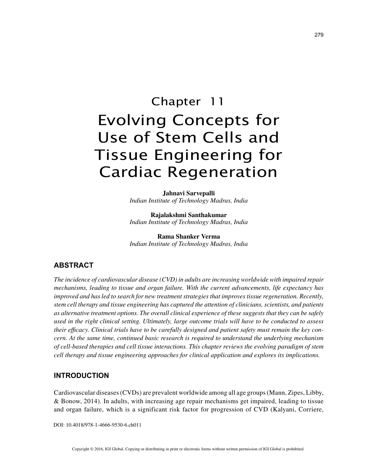# Chapter 11 Evolving Concepts for Use of Stem Cells and Tissue Engineering for Cardiac Regeneration

**Jahnavi Sarvepalli** *Indian Institute of Technology Madras, India*

**Rajalakshmi Santhakumar** *Indian Institute of Technology Madras, India*

**Rama Shanker Verma** *Indian Institute of Technology Madras, India*

# **ABSTRACT**

*The incidence of cardiovascular disease (CVD) in adults are increasing worldwide with impaired repair mechanisms, leading to tissue and organ failure. With the current advancements, life expectancy has improved and has led to search for new treatment strategies that improves tissue regeneration. Recently, stem cell therapy and tissue engineering has captured the attention of clinicians, scientists, and patients as alternative treatment options. The overall clinical experience of these suggests that they can be safely used in the right clinical setting. Ultimately, large outcome trials will have to be conducted to assess their efficacy. Clinical trials have to be carefully designed and patient safety must remain the key concern. At the same time, continued basic research is required to understand the underlying mechanism of cell-based therapies and cell tissue interactions. This chapter reviews the evolving paradigm of stem cell therapy and tissue engineering approaches for clinical application and explores its implications.*

## **INTRODUCTION**

Cardiovascular diseases (CVDs) are prevalent worldwide among all age groups (Mann, Zipes, Libby, & Bonow, 2014). In adults, with increasing age repair mechanisms get impaired, leading to tissue and organ failure, which is a significant risk factor for progression of CVD (Kalyani, Corriere,

DOI: 10.4018/978-1-4666-9530-6.ch011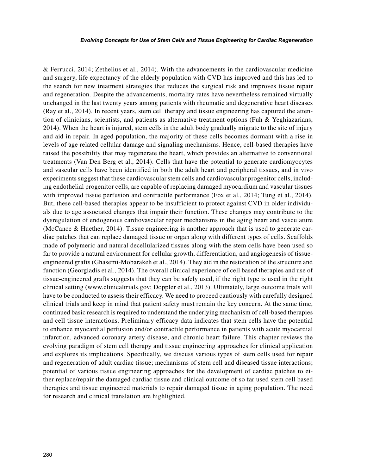& Ferrucci, 2014; Zethelius et al., 2014). With the advancements in the cardiovascular medicine and surgery, life expectancy of the elderly population with CVD has improved and this has led to the search for new treatment strategies that reduces the surgical risk and improves tissue repair and regeneration. Despite the advancements, mortality rates have nevertheless remained virtually unchanged in the last twenty years among patients with rheumatic and degenerative heart diseases (Ray et al., 2014). In recent years, stem cell therapy and tissue engineering has captured the attention of clinicians, scientists, and patients as alternative treatment options (Fuh & Yeghiazarians, 2014). When the heart is injured, stem cells in the adult body gradually migrate to the site of injury and aid in repair. In aged population, the majority of these cells becomes dormant with a rise in levels of age related cellular damage and signaling mechanisms. Hence, cell-based therapies have raised the possibility that may regenerate the heart, which provides an alternative to conventional treatments (Van Den Berg et al., 2014). Cells that have the potential to generate cardiomyocytes and vascular cells have been identified in both the adult heart and peripheral tissues, and in vivo experiments suggest that these cardiovascular stem cells and cardiovascular progenitor cells, including endothelial progenitor cells, are capable of replacing damaged myocardium and vascular tissues with improved tissue perfusion and contractile performance (Fox et al., 2014; Tung et al., 2014). But, these cell-based therapies appear to be insufficient to protect against CVD in older individuals due to age associated changes that impair their function. These changes may contribute to the dysregulation of endogenous cardiovascular repair mechanisms in the aging heart and vasculature (McCance & Huether, 2014). Tissue engineering is another approach that is used to generate cardiac patches that can replace damaged tissue or organ along with different types of cells. Scaffolds made of polymeric and natural decellularized tissues along with the stem cells have been used so far to provide a natural environment for cellular growth, differentiation, and angiogenesis of tissueengineered grafts (Ghasemi-Mobarakeh et al., 2014). They aid in the restoration of the structure and function (Georgiadis et al., 2014). The overall clinical experience of cell based therapies and use of tissue-engineered grafts suggests that they can be safely used, if the right type is used in the right clinical setting (www.clinicaltrials.gov; Doppler et al., 2013). Ultimately, large outcome trials will have to be conducted to assess their efficacy. We need to proceed cautiously with carefully designed clinical trials and keep in mind that patient safety must remain the key concern. At the same time, continued basic research is required to understand the underlying mechanism of cell-based therapies and cell tissue interactions. Preliminary efficacy data indicates that stem cells have the potential to enhance myocardial perfusion and/or contractile performance in patients with acute myocardial infarction, advanced coronary artery disease, and chronic heart failure. This chapter reviews the evolving paradigm of stem cell therapy and tissue engineering approaches for clinical application and explores its implications. Specifically, we discuss various types of stem cells used for repair and regeneration of adult cardiac tissue; mechanisms of stem cell and diseased tissue interactions; potential of various tissue engineering approaches for the development of cardiac patches to either replace/repair the damaged cardiac tissue and clinical outcome of so far used stem cell based therapies and tissue engineered materials to repair damaged tissue in aging population. The need for research and clinical translation are highlighted.